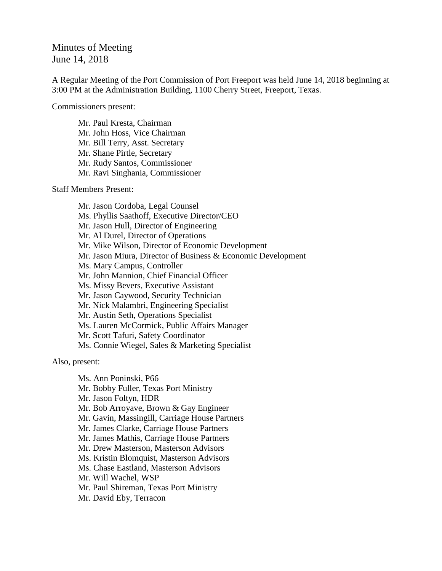## Minutes of Meeting June 14, 2018

A Regular Meeting of the Port Commission of Port Freeport was held June 14, 2018 beginning at 3:00 PM at the Administration Building, 1100 Cherry Street, Freeport, Texas.

Commissioners present:

Mr. Paul Kresta, Chairman Mr. John Hoss, Vice Chairman Mr. Bill Terry, Asst. Secretary Mr. Shane Pirtle, Secretary Mr. Rudy Santos, Commissioner Mr. Ravi Singhania, Commissioner

Staff Members Present:

Mr. Jason Cordoba, Legal Counsel Ms. Phyllis Saathoff, Executive Director/CEO Mr. Jason Hull, Director of Engineering Mr. Al Durel, Director of Operations Mr. Mike Wilson, Director of Economic Development Mr. Jason Miura, Director of Business & Economic Development Ms. Mary Campus, Controller Mr. John Mannion, Chief Financial Officer Ms. Missy Bevers, Executive Assistant Mr. Jason Caywood, Security Technician Mr. Nick Malambri, Engineering Specialist Mr. Austin Seth, Operations Specialist Ms. Lauren McCormick, Public Affairs Manager Mr. Scott Tafuri, Safety Coordinator Ms. Connie Wiegel, Sales & Marketing Specialist

Also, present:

Ms. Ann Poninski, P66 Mr. Bobby Fuller, Texas Port Ministry Mr. Jason Foltyn, HDR Mr. Bob Arroyave, Brown & Gay Engineer Mr. Gavin, Massingill, Carriage House Partners Mr. James Clarke, Carriage House Partners Mr. James Mathis, Carriage House Partners Mr. Drew Masterson, Masterson Advisors Ms. Kristin Blomquist, Masterson Advisors Ms. Chase Eastland, Masterson Advisors Mr. Will Wachel, WSP Mr. Paul Shireman, Texas Port Ministry Mr. David Eby, Terracon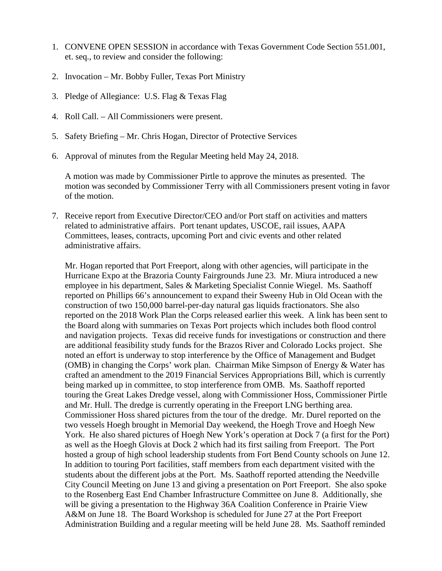- 1. CONVENE OPEN SESSION in accordance with Texas Government Code Section 551.001, et. seq., to review and consider the following:
- 2. Invocation Mr. Bobby Fuller, Texas Port Ministry
- 3. Pledge of Allegiance: U.S. Flag & Texas Flag
- 4. Roll Call. All Commissioners were present.
- 5. Safety Briefing Mr. Chris Hogan, Director of Protective Services
- 6. Approval of minutes from the Regular Meeting held May 24, 2018.

A motion was made by Commissioner Pirtle to approve the minutes as presented. The motion was seconded by Commissioner Terry with all Commissioners present voting in favor of the motion.

7. Receive report from Executive Director/CEO and/or Port staff on activities and matters related to administrative affairs. Port tenant updates, USCOE, rail issues, AAPA Committees, leases, contracts, upcoming Port and civic events and other related administrative affairs.

Mr. Hogan reported that Port Freeport, along with other agencies, will participate in the Hurricane Expo at the Brazoria County Fairgrounds June 23. Mr. Miura introduced a new employee in his department, Sales & Marketing Specialist Connie Wiegel. Ms. Saathoff reported on Phillips 66's announcement to expand their Sweeny Hub in Old Ocean with the construction of two 150,000 barrel-per-day natural gas liquids fractionators. She also reported on the 2018 Work Plan the Corps released earlier this week. A link has been sent to the Board along with summaries on Texas Port projects which includes both flood control and navigation projects. Texas did receive funds for investigations or construction and there are additional feasibility study funds for the Brazos River and Colorado Locks project. She noted an effort is underway to stop interference by the Office of Management and Budget (OMB) in changing the Corps' work plan. Chairman Mike Simpson of Energy & Water has crafted an amendment to the 2019 Financial Services Appropriations Bill, which is currently being marked up in committee, to stop interference from OMB. Ms. Saathoff reported touring the Great Lakes Dredge vessel, along with Commissioner Hoss, Commissioner Pirtle and Mr. Hull. The dredge is currently operating in the Freeport LNG berthing area. Commissioner Hoss shared pictures from the tour of the dredge. Mr. Durel reported on the two vessels Hoegh brought in Memorial Day weekend, the Hoegh Trove and Hoegh New York. He also shared pictures of Hoegh New York's operation at Dock 7 (a first for the Port) as well as the Hoegh Glovis at Dock 2 which had its first sailing from Freeport. The Port hosted a group of high school leadership students from Fort Bend County schools on June 12. In addition to touring Port facilities, staff members from each department visited with the students about the different jobs at the Port. Ms. Saathoff reported attending the Needville City Council Meeting on June 13 and giving a presentation on Port Freeport. She also spoke to the Rosenberg East End Chamber Infrastructure Committee on June 8. Additionally, she will be giving a presentation to the Highway 36A Coalition Conference in Prairie View A&M on June 18. The Board Workshop is scheduled for June 27 at the Port Freeport Administration Building and a regular meeting will be held June 28. Ms. Saathoff reminded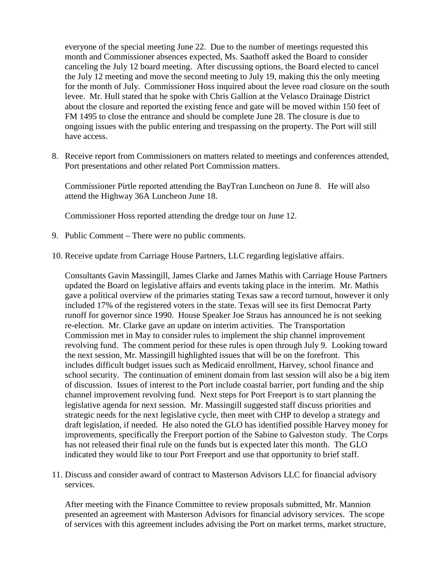everyone of the special meeting June 22. Due to the number of meetings requested this month and Commissioner absences expected, Ms. Saathoff asked the Board to consider canceling the July 12 board meeting. After discussing options, the Board elected to cancel the July 12 meeting and move the second meeting to July 19, making this the only meeting for the month of July. Commissioner Hoss inquired about the levee road closure on the south levee. Mr. Hull stated that he spoke with Chris Gallion at the Velasco Drainage District about the closure and reported the existing fence and gate will be moved within 150 feet of FM 1495 to close the entrance and should be complete June 28. The closure is due to ongoing issues with the public entering and trespassing on the property. The Port will still have access.

8. Receive report from Commissioners on matters related to meetings and conferences attended, Port presentations and other related Port Commission matters.

Commissioner Pirtle reported attending the BayTran Luncheon on June 8. He will also attend the Highway 36A Luncheon June 18.

Commissioner Hoss reported attending the dredge tour on June 12.

- 9. Public Comment There were no public comments.
- 10. Receive update from Carriage House Partners, LLC regarding legislative affairs.

Consultants Gavin Massingill, James Clarke and James Mathis with Carriage House Partners updated the Board on legislative affairs and events taking place in the interim. Mr. Mathis gave a political overview of the primaries stating Texas saw a record turnout, however it only included 17% of the registered voters in the state. Texas will see its first Democrat Party runoff for governor since 1990. House Speaker Joe Straus has announced he is not seeking re-election. Mr. Clarke gave an update on interim activities. The Transportation Commission met in May to consider rules to implement the ship channel improvement revolving fund. The comment period for these rules is open through July 9. Looking toward the next session, Mr. Massingill highlighted issues that will be on the forefront. This includes difficult budget issues such as Medicaid enrollment, Harvey, school finance and school security. The continuation of eminent domain from last session will also be a big item of discussion. Issues of interest to the Port include coastal barrier, port funding and the ship channel improvement revolving fund. Next steps for Port Freeport is to start planning the legislative agenda for next session. Mr. Massingill suggested staff discuss priorities and strategic needs for the next legislative cycle, then meet with CHP to develop a strategy and draft legislation, if needed. He also noted the GLO has identified possible Harvey money for improvements, specifically the Freeport portion of the Sabine to Galveston study. The Corps has not released their final rule on the funds but is expected later this month. The GLO indicated they would like to tour Port Freeport and use that opportunity to brief staff.

11. Discuss and consider award of contract to Masterson Advisors LLC for financial advisory services.

After meeting with the Finance Committee to review proposals submitted, Mr. Mannion presented an agreement with Masterson Advisors for financial advisory services. The scope of services with this agreement includes advising the Port on market terms, market structure,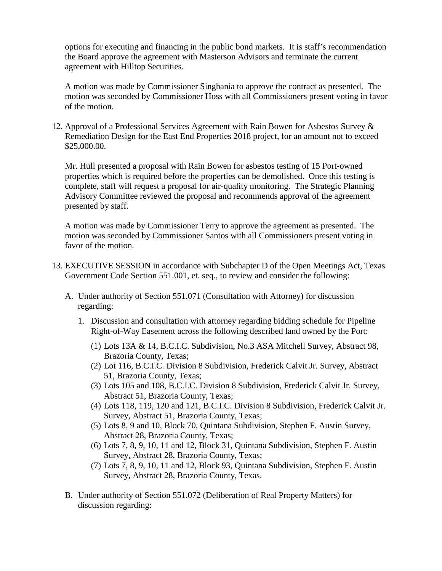options for executing and financing in the public bond markets. It is staff's recommendation the Board approve the agreement with Masterson Advisors and terminate the current agreement with Hilltop Securities.

A motion was made by Commissioner Singhania to approve the contract as presented. The motion was seconded by Commissioner Hoss with all Commissioners present voting in favor of the motion.

12. Approval of a Professional Services Agreement with Rain Bowen for Asbestos Survey & Remediation Design for the East End Properties 2018 project, for an amount not to exceed \$25,000.00.

Mr. Hull presented a proposal with Rain Bowen for asbestos testing of 15 Port-owned properties which is required before the properties can be demolished. Once this testing is complete, staff will request a proposal for air-quality monitoring. The Strategic Planning Advisory Committee reviewed the proposal and recommends approval of the agreement presented by staff.

A motion was made by Commissioner Terry to approve the agreement as presented. The motion was seconded by Commissioner Santos with all Commissioners present voting in favor of the motion.

- 13. EXECUTIVE SESSION in accordance with Subchapter D of the Open Meetings Act, Texas Government Code Section 551.001, et. seq., to review and consider the following:
	- A. Under authority of Section 551.071 (Consultation with Attorney) for discussion regarding:
		- 1. Discussion and consultation with attorney regarding bidding schedule for Pipeline Right-of-Way Easement across the following described land owned by the Port:
			- (1) Lots 13A & 14, B.C.I.C. Subdivision, No.3 ASA Mitchell Survey, Abstract 98, Brazoria County, Texas;
			- (2) Lot 116, B.C.I.C. Division 8 Subdivision, Frederick Calvit Jr. Survey, Abstract 51, Brazoria County, Texas;
			- (3) Lots 105 and 108, B.C.I.C. Division 8 Subdivision, Frederick Calvit Jr. Survey, Abstract 51, Brazoria County, Texas;
			- (4) Lots 118, 119, 120 and 121, B.C.I.C. Division 8 Subdivision, Frederick Calvit Jr. Survey, Abstract 51, Brazoria County, Texas;
			- (5) Lots 8, 9 and 10, Block 70, Quintana Subdivision, Stephen F. Austin Survey, Abstract 28, Brazoria County, Texas;
			- (6) Lots 7, 8, 9, 10, 11 and 12, Block 31, Quintana Subdivision, Stephen F. Austin Survey, Abstract 28, Brazoria County, Texas;
			- (7) Lots 7, 8, 9, 10, 11 and 12, Block 93, Quintana Subdivision, Stephen F. Austin Survey, Abstract 28, Brazoria County, Texas.
	- B. Under authority of Section 551.072 (Deliberation of Real Property Matters) for discussion regarding: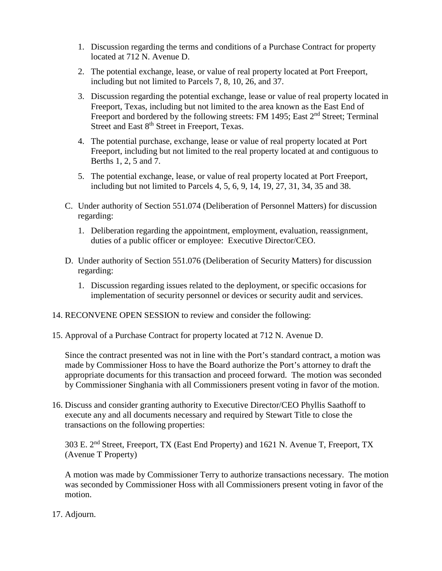- 1. Discussion regarding the terms and conditions of a Purchase Contract for property located at 712 N. Avenue D.
- 2. The potential exchange, lease, or value of real property located at Port Freeport, including but not limited to Parcels 7, 8, 10, 26, and 37.
- 3. Discussion regarding the potential exchange, lease or value of real property located in Freeport, Texas, including but not limited to the area known as the East End of Freeport and bordered by the following streets: FM 1495; East 2<sup>nd</sup> Street; Terminal Street and East 8<sup>th</sup> Street in Freeport, Texas.
- 4. The potential purchase, exchange, lease or value of real property located at Port Freeport, including but not limited to the real property located at and contiguous to Berths 1, 2, 5 and 7.
- 5. The potential exchange, lease, or value of real property located at Port Freeport, including but not limited to Parcels 4, 5, 6, 9, 14, 19, 27, 31, 34, 35 and 38.
- C. Under authority of Section 551.074 (Deliberation of Personnel Matters) for discussion regarding:
	- 1. Deliberation regarding the appointment, employment, evaluation, reassignment, duties of a public officer or employee: Executive Director/CEO.
- D. Under authority of Section 551.076 (Deliberation of Security Matters) for discussion regarding:
	- 1. Discussion regarding issues related to the deployment, or specific occasions for implementation of security personnel or devices or security audit and services.
- 14. RECONVENE OPEN SESSION to review and consider the following:
- 15. Approval of a Purchase Contract for property located at 712 N. Avenue D.

Since the contract presented was not in line with the Port's standard contract, a motion was made by Commissioner Hoss to have the Board authorize the Port's attorney to draft the appropriate documents for this transaction and proceed forward. The motion was seconded by Commissioner Singhania with all Commissioners present voting in favor of the motion.

16. Discuss and consider granting authority to Executive Director/CEO Phyllis Saathoff to execute any and all documents necessary and required by Stewart Title to close the transactions on the following properties:

303 E. 2nd Street, Freeport, TX (East End Property) and 1621 N. Avenue T, Freeport, TX (Avenue T Property)

A motion was made by Commissioner Terry to authorize transactions necessary. The motion was seconded by Commissioner Hoss with all Commissioners present voting in favor of the motion.

17. Adjourn.